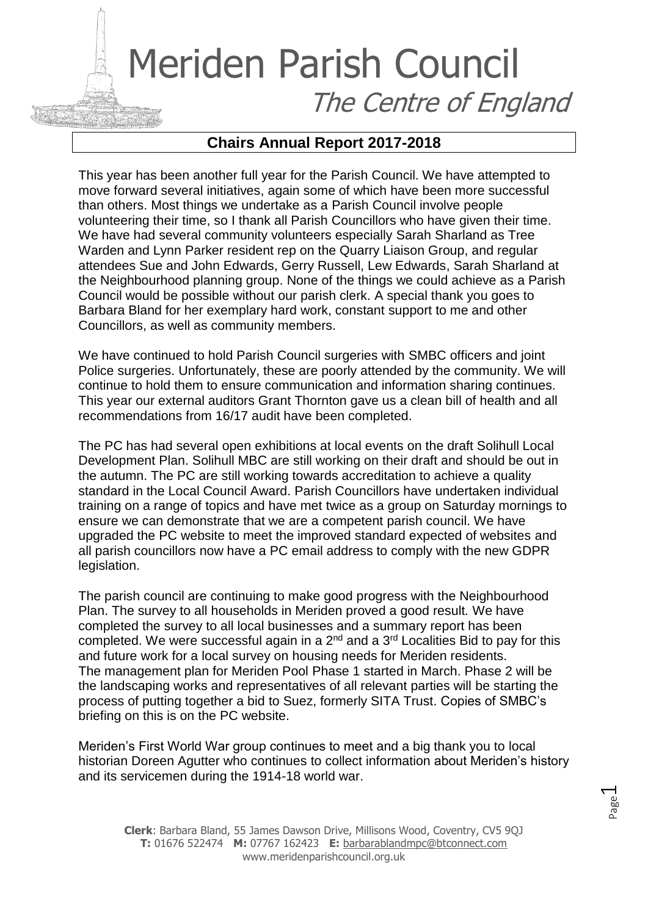## Meriden Parish Council The Centre of England

## **Chairs Annual Report 2017-2018**

This year has been another full year for the Parish Council. We have attempted to move forward several initiatives, again some of which have been more successful than others. Most things we undertake as a Parish Council involve people volunteering their time, so I thank all Parish Councillors who have given their time. We have had several community volunteers especially Sarah Sharland as Tree Warden and Lynn Parker resident rep on the Quarry Liaison Group, and regular attendees Sue and John Edwards, Gerry Russell, Lew Edwards, Sarah Sharland at the Neighbourhood planning group. None of the things we could achieve as a Parish Council would be possible without our parish clerk. A special thank you goes to Barbara Bland for her exemplary hard work, constant support to me and other Councillors, as well as community members.

We have continued to hold Parish Council surgeries with SMBC officers and joint Police surgeries. Unfortunately, these are poorly attended by the community. We will continue to hold them to ensure communication and information sharing continues. This year our external auditors Grant Thornton gave us a clean bill of health and all recommendations from 16/17 audit have been completed.

The PC has had several open exhibitions at local events on the draft Solihull Local Development Plan. Solihull MBC are still working on their draft and should be out in the autumn. The PC are still working towards accreditation to achieve a quality standard in the Local Council Award. Parish Councillors have undertaken individual training on a range of topics and have met twice as a group on Saturday mornings to ensure we can demonstrate that we are a competent parish council. We have upgraded the PC website to meet the improved standard expected of websites and all parish councillors now have a PC email address to comply with the new GDPR legislation.

The parish council are continuing to make good progress with the Neighbourhood Plan. The survey to all households in Meriden proved a good result. We have completed the survey to all local businesses and a summary report has been completed. We were successful again in a  $2<sup>nd</sup>$  and a  $3<sup>rd</sup>$  Localities Bid to pay for this and future work for a local survey on housing needs for Meriden residents. The management plan for Meriden Pool Phase 1 started in March. Phase 2 will be the landscaping works and representatives of all relevant parties will be starting the process of putting together a bid to Suez, formerly SITA Trust. Copies of SMBC's briefing on this is on the PC website.

Meriden's First World War group continues to meet and a big thank you to local historian Doreen Agutter who continues to collect information about Meriden's history and its servicemen during the 1914-18 world war.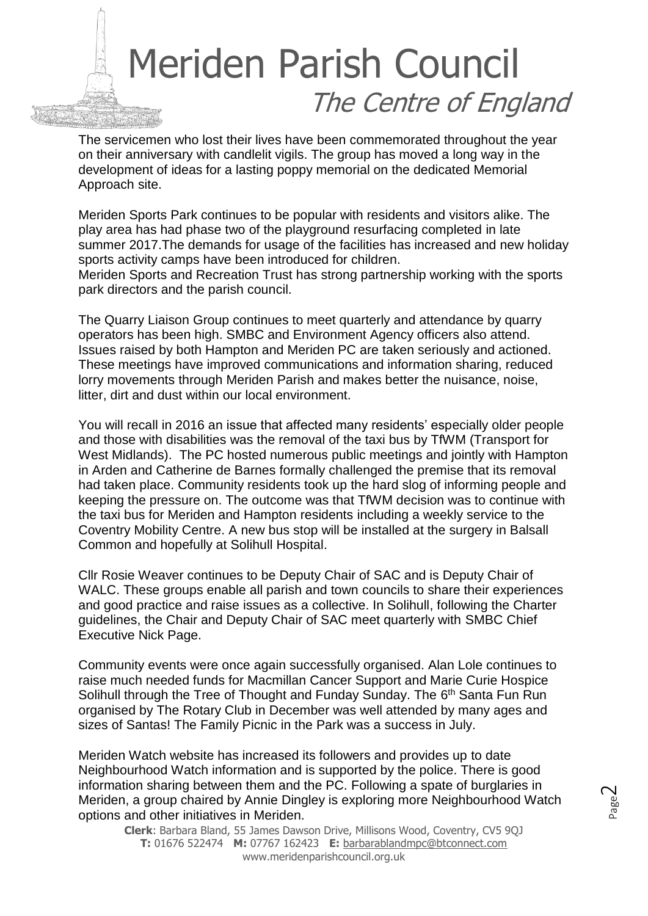## Meriden Parish Council The Centre of England

The servicemen who lost their lives have been commemorated throughout the year on their anniversary with candlelit vigils. The group has moved a long way in the development of ideas for a lasting poppy memorial on the dedicated Memorial Approach site.

Meriden Sports Park continues to be popular with residents and visitors alike. The play area has had phase two of the playground resurfacing completed in late summer 2017.The demands for usage of the facilities has increased and new holiday sports activity camps have been introduced for children.

Meriden Sports and Recreation Trust has strong partnership working with the sports park directors and the parish council.

The Quarry Liaison Group continues to meet quarterly and attendance by quarry operators has been high. SMBC and Environment Agency officers also attend. Issues raised by both Hampton and Meriden PC are taken seriously and actioned. These meetings have improved communications and information sharing, reduced lorry movements through Meriden Parish and makes better the nuisance, noise, litter, dirt and dust within our local environment.

You will recall in 2016 an issue that affected many residents' especially older people and those with disabilities was the removal of the taxi bus by TfWM (Transport for West Midlands). The PC hosted numerous public meetings and jointly with Hampton in Arden and Catherine de Barnes formally challenged the premise that its removal had taken place. Community residents took up the hard slog of informing people and keeping the pressure on. The outcome was that TfWM decision was to continue with the taxi bus for Meriden and Hampton residents including a weekly service to the Coventry Mobility Centre. A new bus stop will be installed at the surgery in Balsall Common and hopefully at Solihull Hospital.

Cllr Rosie Weaver continues to be Deputy Chair of SAC and is Deputy Chair of WALC. These groups enable all parish and town councils to share their experiences and good practice and raise issues as a collective. In Solihull, following the Charter guidelines, the Chair and Deputy Chair of SAC meet quarterly with SMBC Chief Executive Nick Page.

Community events were once again successfully organised. Alan Lole continues to raise much needed funds for Macmillan Cancer Support and Marie Curie Hospice Solihull through the Tree of Thought and Funday Sunday. The 6<sup>th</sup> Santa Fun Run organised by The Rotary Club in December was well attended by many ages and sizes of Santas! The Family Picnic in the Park was a success in July.

Meriden Watch website has increased its followers and provides up to date Neighbourhood Watch information and is supported by the police. There is good information sharing between them and the PC. Following a spate of burglaries in Meriden, a group chaired by Annie Dingley is exploring more Neighbourhood Watch options and other initiatives in Meriden.